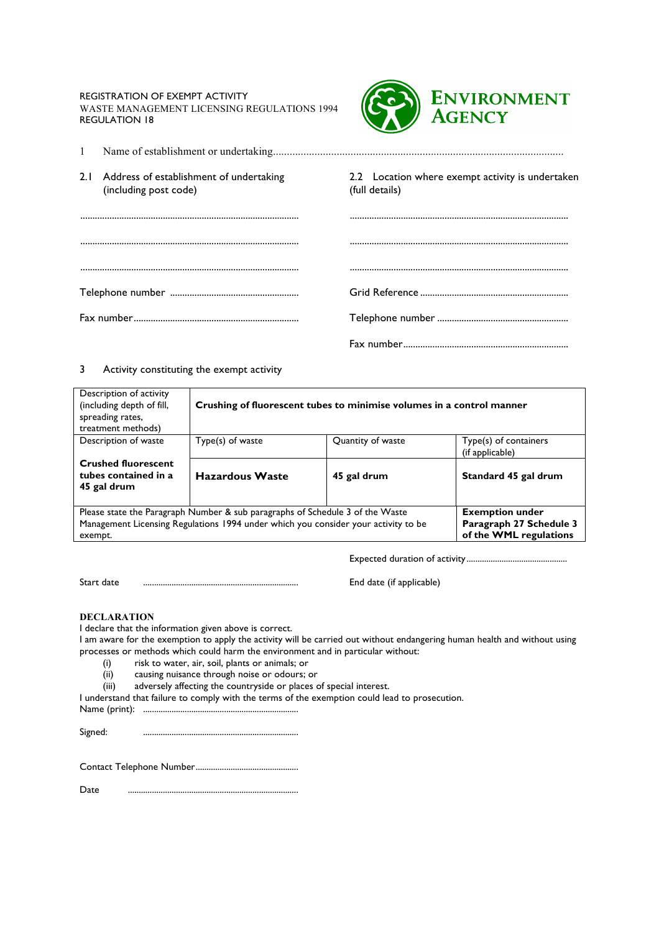REGISTRATION OF EXEMPT ACTIVITY

WASTE MANAGEMENT LICENSING REGULATIONS 1994 REGULATION 18



|  | 2.1 Address of establishment of undertaking<br>(including post code) | 2.2 Location where exempt activity is undertaken<br>(full details) |  |
|--|----------------------------------------------------------------------|--------------------------------------------------------------------|--|
|  |                                                                      |                                                                    |  |
|  |                                                                      |                                                                    |  |
|  |                                                                      |                                                                    |  |
|  |                                                                      |                                                                    |  |
|  |                                                                      |                                                                    |  |
|  |                                                                      |                                                                    |  |

## 3 Activity constituting the exempt activity

| Description of activity<br>(including depth of fill,<br>spreading rates,<br>treatment methods)                | Crushing of fluorescent tubes to minimise volumes in a control manner |                   |                                          |  |  |
|---------------------------------------------------------------------------------------------------------------|-----------------------------------------------------------------------|-------------------|------------------------------------------|--|--|
| Description of waste                                                                                          | Type(s) of waste                                                      | Quantity of waste | Type(s) of containers<br>(if applicable) |  |  |
| <b>Crushed fluorescent</b><br>tubes contained in a<br>45 gal drum                                             | <b>Hazardous Waste</b>                                                | 45 gal drum       | Standard 45 gal drum                     |  |  |
| <b>Exemption under</b><br>Please state the Paragraph Number & sub paragraphs of Schedule 3 of the Waste       |                                                                       |                   |                                          |  |  |
| Management Licensing Regulations 1994 under which you consider your activity to be<br>Paragraph 27 Schedule 3 |                                                                       |                   |                                          |  |  |
| of the WML regulations<br>exempt.                                                                             |                                                                       |                   |                                          |  |  |

Expected duration of activity ..............................................

Start date .......................................................................

End date (if applicable)

## **DECLARATION**

I declare that the information given above is correct.

I am aware for the exemption to apply the activity will be carried out without endangering human health and without using processes or methods which could harm the environment and in particular without:

- (i) risk to water, air, soil, plants or animals; or
- (ii) causing nuisance through noise or odours; or
- (iii) adversely affecting the countryside or places of special interest.

I understand that failure to comply with the terms of the exemption could lead to prosecution. Name (print): .......................................................................

Signed: .......................................................................

Contact Telephone Number...............................................

Date ..............................................................................